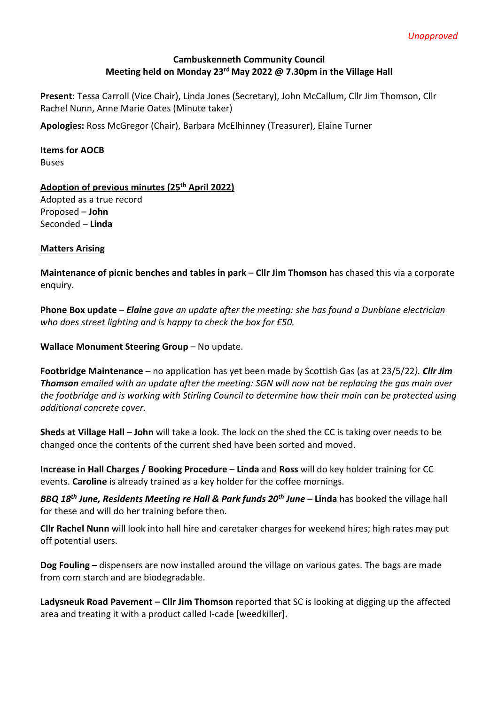### **Cambuskenneth Community Council Meeting held on Monday 23rd May 2022 @ 7.30pm in the Village Hall**

**Present**: Tessa Carroll (Vice Chair), Linda Jones (Secretary), John McCallum, Cllr Jim Thomson, Cllr Rachel Nunn, Anne Marie Oates (Minute taker)

**Apologies:** Ross McGregor (Chair), Barbara McElhinney (Treasurer), Elaine Turner

# **Items for AOCB**

Buses

# **Adoption of previous minutes (25th April 2022)**

Adopted as a true record Proposed – **John**  Seconded – **Linda** 

# **Matters Arising**

**Maintenance of picnic benches and tables in park** – **Cllr Jim Thomson** has chased this via a corporate enquiry.

**Phone Box update** – *Elaine gave an update after the meeting: she has found a Dunblane electrician who does street lighting and is happy to check the box for £50.* 

**Wallace Monument Steering Group - No update.** 

**Footbridge Maintenance** – no application has yet been made by Scottish Gas (as at 23/5/22*). Cllr Jim Thomson emailed with an update after the meeting: SGN will now not be replacing the gas main over the footbridge and is working with Stirling Council to determine how their main can be protected using additional concrete cover.*

**Sheds at Village Hall** – **John** will take a look. The lock on the shed the CC is taking over needs to be changed once the contents of the current shed have been sorted and moved.

**Increase in Hall Charges / Booking Procedure** – **Linda** and **Ross** will do key holder training for CC events. **Caroline** is already trained as a key holder for the coffee mornings.

*BBQ 18th June, Residents Meeting re Hall & Park funds 20th June –* **Linda** has booked the village hall for these and will do her training before then.

**Cllr Rachel Nunn** will look into hall hire and caretaker charges for weekend hires; high rates may put off potential users.

**Dog Fouling –** dispensers are now installed around the village on various gates. The bags are made from corn starch and are biodegradable.

**Ladysneuk Road Pavement – Cllr Jim Thomson** reported that SC is looking at digging up the affected area and treating it with a product called I-cade [weedkiller].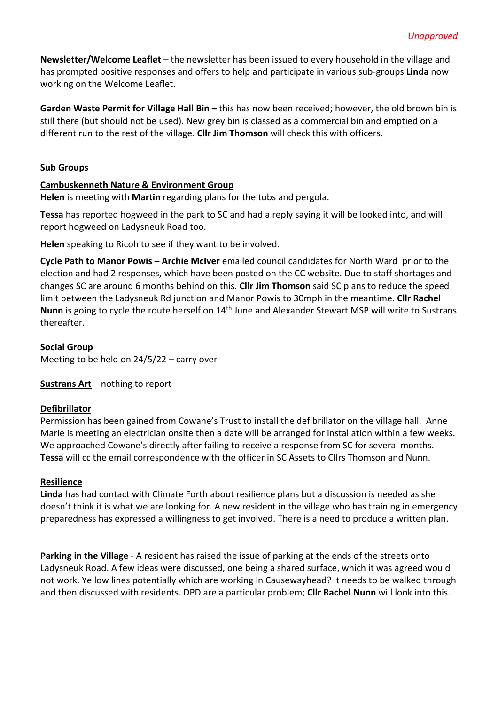**Newsletter/Welcome Leaflet** – the newsletter has been issued to every household in the village and has prompted positive responses and offers to help and participate in various sub-groups **Linda** now working on the Welcome Leaflet.

**Garden Waste Permit for Village Hall Bin –** this has now been received; however, the old brown bin is still there (but should not be used). New grey bin is classed as a commercial bin and emptied on a different run to the rest of the village. **Cllr Jim Thomson** will check this with officers.

#### **Sub Groups**

#### **Cambuskenneth Nature & Environment Group**

**Helen** is meeting with **Martin** regarding plans for the tubs and pergola.

**Tessa** has reported hogweed in the park to SC and had a reply saying it will be looked into, and will report hogweed on Ladysneuk Road too.

**Helen** speaking to Ricoh to see if they want to be involved.

**Cycle Path to Manor Powis – Archie McIver** emailed council candidates for North Ward prior to the election and had 2 responses, which have been posted on the CC website. Due to staff shortages and changes SC are around 6 months behind on this. **Cllr Jim Thomson** said SC plans to reduce the speed limit between the Ladysneuk Rd junction and Manor Powis to 30mph in the meantime. **Cllr Rachel Nunn** is going to cycle the route herself on 14th June and Alexander Stewart MSP will write to Sustrans thereafter.

# **Social Group**

Meeting to be held on 24/5/22 – carry over

**Sustrans Art** – nothing to report

# **Defibrillator**

Permission has been gained from Cowane's Trust to install the defibrillator on the village hall. Anne Marie is meeting an electrician onsite then a date will be arranged for installation within a few weeks. We approached Cowane's directly after failing to receive a response from SC for several months. **Tessa** will cc the email correspondence with the officer in SC Assets to Cllrs Thomson and Nunn.

#### **Resilience**

**Linda** has had contact with Climate Forth about resilience plans but a discussion is needed as she doesn't think it is what we are looking for. A new resident in the village who has training in emergency preparedness has expressed a willingness to get involved. There is a need to produce a written plan.

**Parking in the Village** - A resident has raised the issue of parking at the ends of the streets onto Ladysneuk Road. A few ideas were discussed, one being a shared surface, which it was agreed would not work. Yellow lines potentially which are working in Causewayhead? It needs to be walked through and then discussed with residents. DPD are a particular problem; **Cllr Rachel Nunn** will look into this.